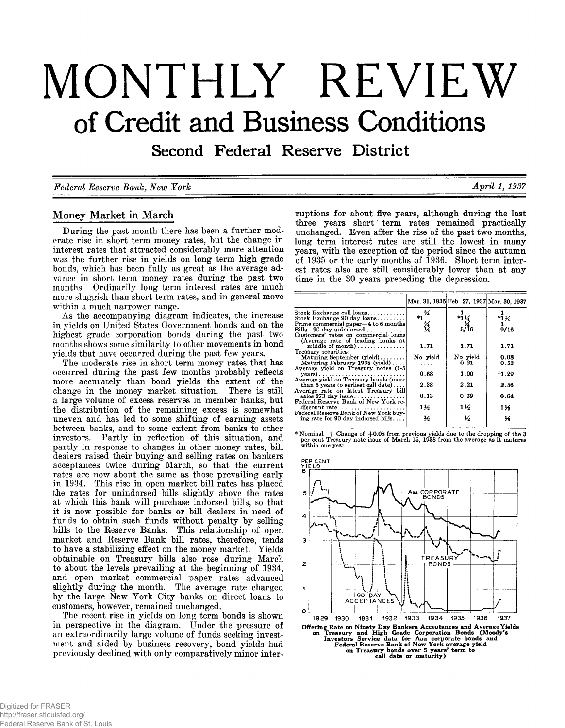# **MONTHLY REVIEW of Credit and Business Conditions**

Second Federal Reserve District

*Federal Reserve Bank, New York April 1,1937*

# **Money Market in March**

**During the past month there has been a further moderate rise in short term money rates, but the change in interest rates that attracted considerably more attention was the further rise in yields on long term high grade bonds, which has been fully as great as the average advance in short term money rates during the past two months. Ordinarily long term interest rates are much more sluggish than short term rates, and in general move within a much narrower range.**

**As the accompanying diagram indicates, the increase in yields on United States Government bonds and on the highest grade corporation bonds during the past two months shows some similarity to other movements in bond yields that have occurred during the past few years.**

**The moderate rise in short term money rates that has occurred during the past few months probably reflects more accurately than bond yields the extent of the change in the money market situation. There is still a large volume of excess reserves in member banks, but the distribution of the remaining excess is somewhat uneven and has led to some shifting of earning assets between banks, and to some extent from banks to other investors. Partly in reflection of this situation, and partly in response to changes in other money rates, bill dealers raised their buying and selling rates on bankers acceptances twice during March, so that the current rates are now about the same as those prevailing early in 1934. This rise in open market bill rates has placed the rates for unindorsed bills slightly above the rates at which this bank will purchase indorsed bills, so that it is now possible for banks or bill dealers in need of funds to obtain such funds without penalty by selling bills to the Reserve Banks. This relationship of open market and Reserve Bank bill rates, therefore, tends to have a stabilizing effect on the money market. Yields obtainable on Treasury bills also rose during March to about the levels prevailing at the beginning of 1934, and open market commercial paper rates advanced slightly during the month. The average rate charged by the large New York City banks on direct loans to customers, however, remained unchanged.**

**The recent rise in yields on long term bonds is shown in perspective in the diagram. Under the pressure of an extraordinarily large volume of funds seeking investment and aided by business recovery, bond yields had previously declined with only comparatively minor inter-**

**ruptions for about five years, although during the last three years short term rates remained practically unchanged. Even after the rise of the past two months, long term interest rates are still the lowest in many years, with the exception of the period since the autumn of 1935 or the early months of 1936. Short term interest rates also are still considerably lower than at any time in the 30 years preceding the depression.**

|                                                                                                                      |               |                                | Mar. 31, 1936 Feb. 27, 1937 Mar. 30, 1937 |
|----------------------------------------------------------------------------------------------------------------------|---------------|--------------------------------|-------------------------------------------|
| Stock Exchange call loans<br>Stock Exchange 90 day loans                                                             | $*1^{3/4}$    |                                | $*1\frac{1}{4}$                           |
| Prime commercial paper—4 to 6 months<br>Bills-90 day unindorsed $\ldots$                                             | 经人            | $^{*1}\frac{17}{34}$<br>$5/16$ | 9/16                                      |
| Customers' rates on commercial loans<br>(Average rate of leading banks at<br>middle of month)                        | 1.71          | 1.71                           | 1.71                                      |
| Treasury securities:<br>Maturing September $(yield) \dots \dots$<br>Maturing February 1938 (yield)                   | No yield<br>. | No yield<br>0.21               | 0.08<br>0.52                              |
| Average yield on Treasury notes (1-5)<br>$years) \ldots \ldots \ldots \ldots \ldots \ldots \ldots \ldots$            | 0.68          | 1.00                           | †1.29                                     |
| Average vield on Treasury bonds (more<br>than 5 years to earliest call date)<br>Average rate on latest Treasury bill | 2.38          | 2.21                           | 2.56                                      |
| sales 273 day issue<br>Federal Reserve Bank of New York re-                                                          | 0.13          | 0.39                           | 0.64                                      |
| discount rate<br>Federal Reserve Bank of New York buy-                                                               | 1½            | 1½                             | 114                                       |
| ing rate for 90 day indorsed bills                                                                                   | ⅓             | ⅓                              | к                                         |

**\* N om inal f Change of + 0 .0 8 from previous yields due to the dropping of the 3 per cent Treasury note issue of M arch 15, 1938 from the average as it matures w ithin one year.**

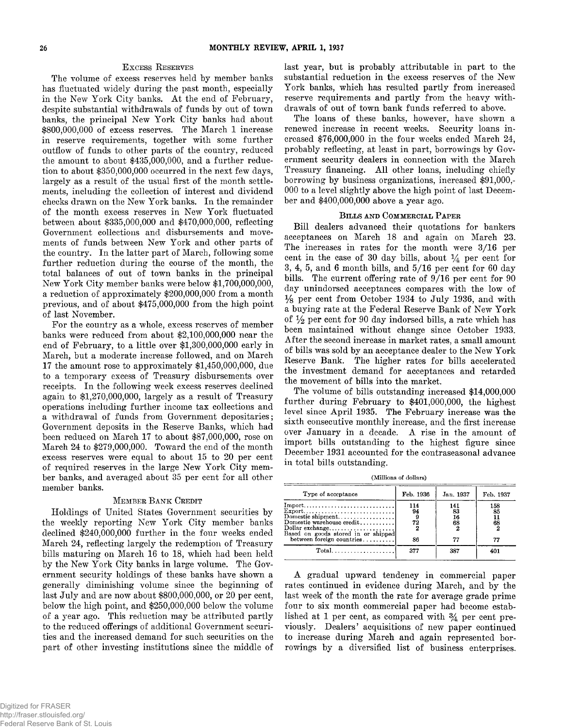#### **Excess Reserves**

**The volume of excess reserves held by member banks has fluctuated widely during the past month, especially in the New York City banks. At the end of February, despite substantial withdrawals of funds by out of town banks, the principal New York City banks had about \$800,000,000 of excess reserves. The March 1 increase in reserve requirements, together with some further outflow of funds to other parts of the country, reduced the amount to about \$435,000,000, and a further reduction to about \$350,000,000 occurred in the next few days, largely as a result of the usual first of the month settlements, including the collection of interest and dividend checks drawn on the New York banks. In the remainder of the month excess reserves in New York fluctuated between about \$335,000,000 and \$470,000,000, reflecting Government collections and disbursements and movements of funds between New York and other parts of the country. In the latter part of March, following some further reduction during the course of the month, the total balances of out of town banks in the principal New York City member banks were below \$1,700,000,000, a reduction of approximately \$200,000,000 from a month previous, and of about \$475,000,000 from the high point of last November.**

**For the country as a whole, excess reserves of member banks were reduced from about \$2,100,000,000 near the end of February, to a little over \$1,300,000,000 early in March, but a moderate increase followed, and on March 17 the amount rose to approximately \$1,450,000,000, due to a temporary excess of Treasury disbursements over receipts. In the following week excess reserves declined again to \$1,270,000,000, largely as a result of Treasury operations including further income tax collections and a withdrawal of funds from Government depositaries; Government deposits in the Reserve Banks, which had been reduced on March 17 to about \$87,000,000, rose on March 24 to \$279,000,000. Toward the end of the month excess reserves were equal to about 15 to 20 per cent of required reserves in the large New York City member banks, and averaged about 35 per cent for all other member banks.**

#### **Member Bank Credit**

**Holdings of United States Government securities by the weekly reporting New York City member banks declined \$240,000,000 further in the four weeks ended March 24, reflecting largely the redemption of Treasury bills maturing on March 16 to 18, which had been held by the New York City banks in large volume. The Government security holdings of these banks have shown a generally diminishing volume since the beginning of last July and are now about \$800,000,000, or 20 per cent, below the high point, and \$250,000,000 below the volume of a year ago. This reduction may be attributed partly to the reduced offerings of additional Government securities and the increased demand for such securities on the part of other investing institutions since the middle of**

**last year, but is probably attributable in part to the substantial reduction in the excess reserves of the New York banks, which has resulted partly from increased reserve requirements and partly from the heavy withdrawals of out of town bank funds referred to above.**

**The loans of these banks, however, have shown a renewed increase in recent weeks. Security loans increased \$76,000,000 in the four weeks ended March 24, probably reflecting, at least in part, borrowings by Government security dealers in connection with the March Treasury financing. All other loans, including chiefly borrowing by business organizations, increased \$91,000,- 000 to a level slightly above the high point of last December and \$400,000,000 above a year ago.**

#### **Bills and Commercial Paper**

**Bill dealers advanced their quotations for bankers acceptances on March 18 and again on March 23. The increases in rates for the month were 3/16 per** cent in the case of 30 day bills, about  $\frac{1}{4}$  per cent for **3, 4, 5, and 6 month bills, and 5/16 per cent for 60 day bills. The current offering rate of 9/16 per cent for 90 day unindorsed acceptances compares with the low of** *Ys* **per cent from October 1934 to July 1936, and with a buying rate at the Federal Reserve Bank of New York of per cent for 90 day indorsed bills, a rate which has been maintained without change since October 1933. After the second increase in market rates, a small amount of bills was sold by an acceptance dealer to the New York Reserve Bank. The higher rates for bills accelerated the investment demand for acceptances and retarded the movement of bills into the market.**

**The volume of bills outstanding increased \$14,000,000 further during February to \$401,000,000, the highest level since April 1935. The February increase was the sixth consecutive monthly increase, and the first increase over January in a decade. A rise in the amount of import bills outstanding to the highest figure since December 1931 accounted for the contraseasonal advance in total bills outstanding.**

(Millions of dollars)

| Type of acceptance        | Feb. 1936             | Jan. 1937             | Feb. 1937             |
|---------------------------|-----------------------|-----------------------|-----------------------|
| between foreign countries | 114<br>94<br>72<br>86 | 141<br>83<br>16<br>68 | 158<br>85<br>68<br>77 |
|                           | 377                   | 387                   | 4ሰ1                   |

**A gradual upward tendency in commercial paper rates continued in evidence during March, and by the last week of the month the rate for average grade prime four to six month commercial paper had become estab**lished at 1 per cent, as compared with  $\frac{3}{4}$  per cent pre**viously. Dealers' acquisitions of new paper continued to increase during March and again represented borrowings by a diversified list of business enterprises.**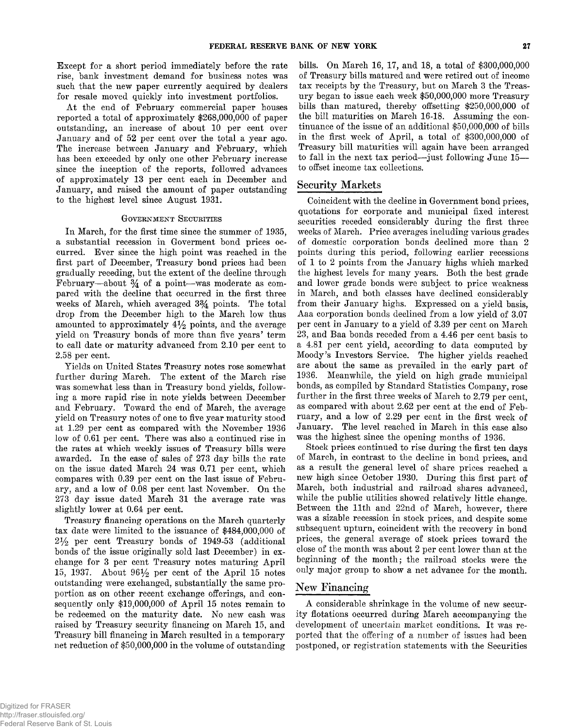**Except for a short period immediately before the rate rise, bank investment demand for business notes was such that the new paper currently acquired by dealers for resale moved quickly into investment portfolios.**

**At the end of February commercial paper houses reported a total of approximately \$268,000,000 of paper outstanding, an increase of about 10 per cent over January and of 52 per cent over the total a year ago. The increase between January and February, which has been exceeded by only one other February increase since the inception of the reports, followed advances of approximately 13 per cent each in December and January, and raised the amount of paper outstanding to the highest level since August 1931.**

#### **Government Securities**

**In March, for the first time since the summer of 1935, a substantial recession in Goverment bond prices occurred. Ever since the high point was reached in the first part of December, Treasury bond prices had been gradually receding, but the extent of the decline through** February—about  $\frac{3}{4}$  of a point—was moderate as com**pared with the decline that occurred in the first three weeks of March, which averaged 3% points. The total drop from the December high to the March low thus amounted to approximately 4% points, and the average yield on Treasury bonds of more than five years' term to call date or maturity advanced from 2.10 per cent to 2.58 per cent.**

**Yields on United States Treasury notes rose somewhat further during March. The extent of the March rise was somewhat less than in Treasury bond yields, following a more rapid rise in note yields between December and February. Toward the end of March, the average yield on Treasury notes of one to five year maturity stood at 1.29 per cent as compared with the November 1936 low of 0.61 per cent. There was also a continued rise in the rates at which weekly issues of Treasury bills were awarded. In the case of sales of 273 day bills the rate on the issue dated March 24 was 0.71 per cent, which compares with 0.39 per cent on the last issue of February, and a low of 0.08 per cent last November. On the 273 day issue dated Marcli 31 the average rate was slightly lower at 0.64 per cent.**

**Treasury financing operations on the March quarterly tax date were limited to the issuance of \$484,000,000 of 2***y 2* **per cent Treasury bonds of 1949-53 (additional bonds of the issue originally sold last December) in exchange for 3 per cent Treasury notes maturing April 15, 1937. About 96% per cent of the April 15 notes outstanding were exchanged, substantially the same proportion as on other recent exchange offerings, and consequently only \$19,000,000 of April 15 notes remain to be redeemed on the maturity date. No new cash was raised by Treasury security financing on March 15, and Treasury bill financing in March resulted in a temporary net reduction of \$50,000,000 in the volume of outstanding**

**bills. On March 16, 17, and 18, a total of \$300,000,000 of Treasury bills matured and were retired out of income tax receipts by the Treasury, but on March 3 the Treasury began to issue each week \$50,000,000 more Treasury bills than matured, thereby offsetting \$250,000,000 of the bill maturities on March 16-18. Assuming the continuance of the issue of an additional \$50,000,000 of bills in the first week of April, a total of \$300,000,000 of Treasury bill maturities will again have been arranged to fall in the next tax period— just following June 15 to offset income tax collections.**

#### **Security Markets**

**Coincident with the decline in Government bond prices, quotations for corporate and municipal fixed interest securities receded considerably during the first three weeks of March. Price averages including various grades of domestic corporation bonds declined more than 2 points during this period, following earlier recessions of 1 to 2 points from the January highs which marked the highest levels for many years. Both the best grade and lower grade bonds were subject to price weakness in March, and both classes have declined considerably from their January highs. Expressed on a yield basis, Aaa corporation bonds declined from a low yield of 3.07 per cent in January to a yield of 3.39 per cent on March 23, and Baa bonds receded from a 4.46 per cent basis to a 4.81 per cent yield, according to data computed by Moody's Investors Service. The higher yields reached are about the same as prevailed in the early part of 1936. Meanwhile, the yield on high grade municipal bonds, as compiled by Standard Statistics Company, rose further in the first three weeks of March to 2.79 per cent, as compared with about 2.62 per cent at the end of February, and a low of 2.29 per cent in the first week of January. The level reached in March in this case also was the highest since the opening months of 1936.**

**Stock prices continued to rise during the first ten days of March, in contrast to the decline in bond prices, and as a result the general level of share prices reached a new high since October 1930. During this first part of March, both industrial and railroad shares advanced, while the public utilities showed relatively little change. Between the 11th and 22nd of March, however, there was a sizable recession in stock prices, and despite some subsequent upturn, coincident with the recovery in bond prices, the general average of stock prices toward the close of the month was about 2 per cent lower than at the beginning of the month; the railroad stocks were the only major group to show a net advance for the month.**

#### **New Financing**

**A considerable shrinkage in the volume of new security flotations occurred during March accompanying the development of uncertain market conditions. It was reported that the offering of a number of issues had been postponed, or registration statements with the Securities**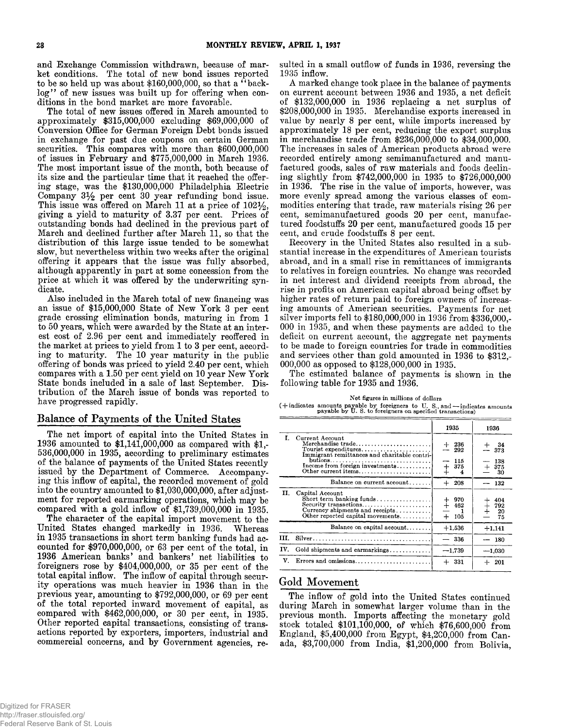**and Exchange Commission withdrawn, because of market conditions. The total of new bond issues reported** to be so held up was about \$160,000,000, so that a "backlog" of new issues was built up for offering when con**ditions in the bond market are more favorable.**

**The total of new issues offered in March amounted to approximately \$315,000,000 excluding \$69,000,000 of Conversion Office for German Foreign Debt bonds issued in exchange for past due coupons on certain German securities. This compares with more than \$600,000,000 of issues in February and \$775,000,000 in March 1936. The most important issue of the month, both because of its size and the particular time that it reached the offering stage, was the \$130,000,000 Philadelphia Electric Company 3% per cent 30 year refunding bond issue. This issue was offered on March 11 at a price of 102%, giving a yield to maturity of 3.37 per cent. Prices of outstanding bonds had declined in the previous part of March and declined further after March 11, so that the distribution of this large issue tended to be somewhat slow, but nevertheless within two weeks after the original offering it appears that the issue was fully absorbed, although apparently in part at some concession from the price at which it was offered by the underwriting syndicate.**

**Also included in the March total of new financing was an issue of \$15,000,000 State of New York 3 per cent grade crossing elimination bonds, maturing in from 1 to 50 years, which were awarded by the State at an interest cost of 2.96 per cent and immediately reoffered in the market at prices to yield from 1 to 3 per cent, according to maturity. The 10 year maturity in the public offering of bonds was priced to yield 2.40 per cent, which compares with a 1.50 per cent yield on 10 year New York State bonds included in a sale of last September. Distribution of the March issue of bonds was reported to have progressed rapidly.**

#### **Balance of Payments of the United States**

**The net import of capital into the United States in 1936 amounted to \$1,141,000,000 as compared with \$1,- 536,000,000 in 1935, according to preliminary estimates of the balance of payments of the United States recently issued by the Department of Commerce. Accompanying this inflow of capital, the recorded movement of gold into the country amounted to \$1,030,000,000, after adjustment for reported earmarking operations, which may be compared with a gold inflow of \$1,739,000,000 in 1935.**

**The character of the capital import movement to the United States changed markedly in 1936. Whereas in 1935 transactions in short term banking funds had accounted for \$970,000,000, or 63 per cent of the total, in 1936 American banks' and bankers' net liabilities to foreigners rose by \$404,000,000, or 35 per cent of the total capital inflow. The inflow of capital through security operations was much heavier in 1936 than in the previous year, amounting to \$792,000,000, or 69 per cent of the total reported inward movement of capital, as compared with \$462,000,000, or 30 per cent, in 1935. Other reported capital transactions, consisting of transactions reported by exporters, importers, industrial and commercial concerns, and by Government agencies, re-** **sulted in a small outflow of funds in 1936, reversing the 1935 inflow.**

**A marked change took place in the balance of payments on current account between 1936 and 1935, a net deficit of \$132,000,000 in 1936 replacing a net surplus of \$208,000,000 in 1935. Merchandise exports increased in value by nearly 8 per cent, while imports increased by approximately 18 per cent, reducing the export surplus in merchandise trade from \$236,000,000 to \$34,000,000. The increases in sales of American products abroad were recorded entirely among semimanufactured and manufactured goods, sales of raw materials and foods declining slightly from \$742,000,000 in 1935 to \$726,000,000 in 1936. The rise in the value of imports, however, was more evenly spread among the various classes of commodities entering that trade, raw materials rising 26 per cent, semimanufactured goods 20 per cent, manufactured foodstuffs 20 per cent, manufactured goods 15 per cent, and crude foodstuffs 8 per cent.**

**Recovery in the United States also resulted in a substantial increase in the expenditures of American tourists abroad, and in a small rise in remittances of immigrants to relatives in foreign countries. No change was recorded in net interest and dividend receipts from abroad, the rise in profits on American capital abroad being offset by higher rates of return paid to foreign owners of increasing amounts of American securities. Payments for net silver imports fell to \$180,000,000 in 1936 from \$336,000,- 000 in 1935, and when these payments are added to the deficit on current account, the aggregate net payments to be made to foreign countries for trade in commodities and services other than gold amounted in 1936 to \$312,- 000,000 as opposed to \$128,000,000 in 1935.**

**The estimated balance of payments is shown in the following table for 1935 and 1936.**

| Net figures in millions of dollars                                                                                                    |
|---------------------------------------------------------------------------------------------------------------------------------------|
| (+indicates amounts payable by foreigners to U.S., and -indicates amounts<br>payable by U.S. to foreigners on specified transactions) |

|     |                                                                                                                                             | 1935                       | 1936                            |
|-----|---------------------------------------------------------------------------------------------------------------------------------------------|----------------------------|---------------------------------|
| L.  | Current Account<br>Merchandise trade<br>Tourist expenditures<br>Immigrant remittances and charitable contri-<br>Other current items         | - 236<br>292<br>115<br>375 | - 34<br>373<br>138<br>375<br>30 |
|     | Balance on current account                                                                                                                  | $+208$                     | 132                             |
| Н.  | Capital Account<br>Short term banking funds<br>Security transactions<br>Currency shipments and receipts<br>Other reported capital movements | 970<br>$+ 462$<br>$+ 105$  | 404<br>792<br>20<br>75          |
|     | Balance on capital account                                                                                                                  | $+1,536$                   | $+1,141$                        |
| Ш.  |                                                                                                                                             | 336                        | -- 180                          |
| IV. | Gold shipments and earmarkings                                                                                                              | $-1,739$                   | $-1,030$                        |
| V.  | Errors and omissions                                                                                                                        | $+331$                     | $+201$                          |

#### Gold Movement

**The inflow of gold into the United States continued during March in somewhat larger volume than in the previous month. Imports affecting the monetary gold stock totaled \$101,100,000, of which \$76,600,000 from England, \$5,400,000 from Egypt, \$4,200,000 from Canada, \$3,700,000 from India, \$1,200,000 from Bolivia,**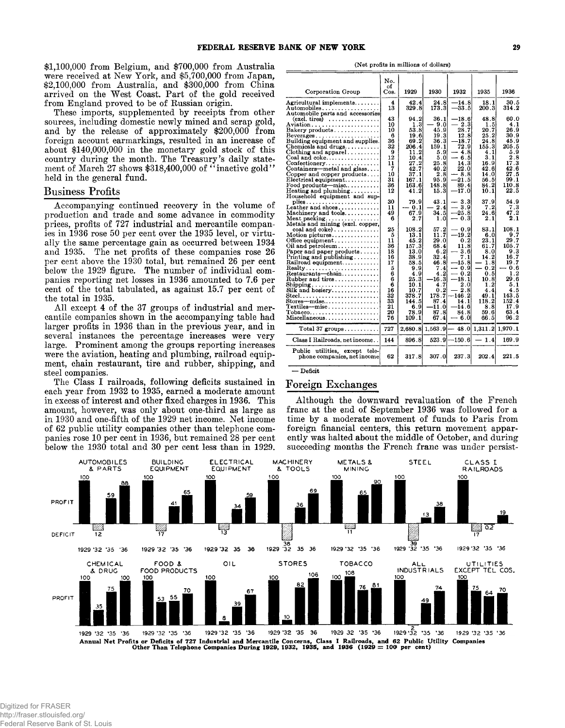**\$1,100,000 from Belgium, and \$700,000 from Australia were received at New York, and \$5,700,000 from Japan, \$2,100,000 from Australia, and \$300,000 from China arrived on the West Coast. Part of the gold received from England proved to be of Russian origin.**

**These imports, supplemented by receipts from other sources, including domestic newly mined and scrap gold, and by the release of approximately \$200,000 from foreign account earmarkings, resulted in an increase of about \$140,000,000 in the monetary gold stock of this country during the month. The Treasury's daily statement of March 27 shows \$318,400,000 of " inactive gold" held in the general fund.**

#### **Business Profits**

**Accompanying continued recovery in the volume of production and trade and some advance in commodity prices, profits of 727 industrial and mercantile companies in 1936 rose 50 per cent over the 1935 level, or virtually the same percentage gain as occurred between 1934 and 1935. The net profits of these companies rose 26 per cent above the 1930 total, but remained 26 per cent below the 1929 figure. The number of individual companies reporting net losses in 1936 amounted to 7.6 per cent of the total tabulated, as against 15.7 per cent of the total in 1935.**

**All except 4 of the 37 groups of industrial and mercantile companies shown in the accompanying table had larger profits in 1936 than in the previous year, and in several instances the percentage increases were very large. Prominent among the groups reporting increases were the aviation, heating and plumbing, railroad equipment, chain restaurant, tire and rubber, shipping, and steel companies.**

**The Class I railroads, following deficits sustained in each year from 1932 to 1935, earned a moderate amount in excess of interest and other fixed charges in 1936. This amount, however, was only about one-third as large as in 1930 and one-fifth of the 1929 net income. Net income of 62 public utility companies other than telephone companies rose 10 per cent in 1936, but remained 28 per cent below the 1930 total and 30 per cent less than in 1929.**

(Net profits in millions of dollars)

|                                                                                                                                                                                                                                                                                                                  | No.                                                         |                                                                                      |                                                                                     |                                                                                                 |                                                                                    |                                                                                             |
|------------------------------------------------------------------------------------------------------------------------------------------------------------------------------------------------------------------------------------------------------------------------------------------------------------------|-------------------------------------------------------------|--------------------------------------------------------------------------------------|-------------------------------------------------------------------------------------|-------------------------------------------------------------------------------------------------|------------------------------------------------------------------------------------|---------------------------------------------------------------------------------------------|
| Corporation Group                                                                                                                                                                                                                                                                                                | of<br>Cos.                                                  | 1929                                                                                 | 1930                                                                                | 1932                                                                                            | 1935                                                                               | 1936                                                                                        |
| Agricultural implements<br>Automobiles<br>Automobile parts and accessories                                                                                                                                                                                                                                       | 4<br>13                                                     | 42.4<br>329.8                                                                        | 24.8<br>173.3                                                                       | $-14.8$<br>$-33.5$                                                                              | 18.1<br>200.3                                                                      | 30.5<br>314.2                                                                               |
| $(excl. tires) \dots \dots \dots \dots \dots$<br>Bakery products<br>$Beverages \ldots \ldots \ldots \ldots \ldots$<br>Building equipment and supplies.<br>Chemicals and drugs<br>$\text{Clothing}$ and apparel<br>$Coal$ and $coke$<br>Confectionery<br>Containers-metal and glass<br>Copper and copper products | 43<br>10<br>10<br>6<br>36<br>32<br>9<br>12<br>11<br>7<br>10 | 94.2<br>1.3<br>53.8<br>19.6<br>69.2<br>206.4<br>11.2<br>10.4<br>27.2<br>42.7<br>37.1 | 36.1<br>- 9.0<br>45.9<br>19.3<br>36.3<br>159.1<br>5.9<br>5.0<br>25.8<br>40.2<br>2.8 | $-18.6$<br>2.3<br>28.7<br>12.8<br>$-18.7$<br>72.9<br>$-4.8$<br>$-6.5$<br>14.3<br>22.0<br>$-8.8$ | 48.8<br>1.5<br>20.7<br>25.2<br>24.8<br>155.3<br>4.1<br>3.1<br>16.9<br>42.6<br>14.0 | 60.0<br>4.1<br>26.9<br>30.9<br>45.9<br>205.5<br>5.9<br>$_{\rm 2.8}$<br>17.3<br>42.6<br>27.5 |
| Electrical equipment<br>$Food$ products—misc<br>Heating and plumbing<br>Household equipment and sup-                                                                                                                                                                                                             | 31<br>36<br>12                                              | 167.1<br>163.6<br>41.2                                                               | 95.9<br>148.8<br>15.3                                                               | $-21.5$<br>89.4<br>$-17.0$                                                                      | 56.5<br>84.2<br>10.1                                                               | 99.1<br>110.8<br>22.5                                                                       |
| $plies \ldots \ldots \ldots \ldots \ldots$<br>Leather and shoes<br>Machinery and tools<br>Meat $\mathbf{packing} \dots \dots \dots \dots \dots$<br>Metals and mining (excl. copper,                                                                                                                              | 30<br>11<br>49<br>6                                         | 79.9<br>$-0.1$<br>67.9<br>2.7                                                        | 43.1<br>$-2.4$<br>34.5<br>1.0                                                       | 3.3<br>$-3.9$<br>$-25.8$<br>$-0.3$                                                              | 37.9<br>7.2<br>24.6<br>2.1                                                         | 54.9<br>7.3<br>47.2<br>2.1                                                                  |
| $\cosh$ and $\cosh$ )<br>Motion pictures<br>Office equipment<br>Oil and petroleum<br>Paper and paper products<br>Printing and publishing $\ldots \ldots$<br>Railroad equipment<br>$\text{Realty} \dots \dots \dots \dots \dots \dots \dots$<br>Restaurants-chain<br>Rubber and tires                             | 25<br>5<br>11<br>36<br>18<br>16<br>17<br>5<br>6<br>6        | 108.2<br>13.1<br>45.2<br>157.3<br>13.0<br>38.9<br>58.5<br>9.9<br>4.9<br>25.3         | $57.2\,$<br>11.7<br>29.0<br>68.4<br>6.2<br>32.4<br>46.8<br>7.41<br>4.2<br>$-16.3$   | $-0.9$<br>$-19.2$<br>0.2<br>11.8<br>$-3.6$<br>7.1<br>$-15.8$<br>$-0.9$<br>$-0.2$<br>$-18.1$     | 83.1<br>6.0<br>23.1<br>61.7<br>8.0<br>142<br>1.8<br>$-0.2$<br>0.5<br>10.8          | 108.1<br>9.7<br>29.7<br>1057<br>9.3<br>16.7<br>19.7<br>- 0.6<br>$1.2\,$<br>29.6             |
| $\text{Shipping} \dots \dots \dots \dots \dots \dots \dots$<br>Silk and hosiery<br>$\texttt{Stores--mdse.}\dots\dots\dots\dots\dots\dots$<br>$\operatorname{Textiles-misc.} \ldots \ldots \ldots \ldots \ldots$<br>$\text{Tobacco} \dots \dots \dots \dots \dots \dots \dots \dots$<br>Miscellaneous             | 6<br>16<br>32<br>33<br>21<br>20<br>76                       | 10.1<br>10.7<br>378.7<br>144.5<br>6.9<br>78.9<br>109.1                               | 4.7<br>0.2<br>178.7<br>87.4<br>-11.0<br>87.8<br>67.4                                | 2.0<br>$-2.8$<br>-146 2<br>14.1<br>-14.6<br>84.8<br>$-6.0$                                      | 1.2<br>4.4<br>49.1<br>118.2<br>8.8<br>59.6<br>66.5                                 | 5.1<br>4.5<br>143.5<br>152.4<br>17.9<br>63.4<br>96.2                                        |
| Total 37 $groups \ldots \ldots \ldots$                                                                                                                                                                                                                                                                           | 727                                                         | 2,680.8                                                                              |                                                                                     | $1,563.9 - 48.0$                                                                                | 1,311.2                                                                            | 1,970.1                                                                                     |
| Class I Railroads, net income                                                                                                                                                                                                                                                                                    | 144                                                         | 896.8                                                                                | 523.9                                                                               | -150.6                                                                                          | $-1.4$                                                                             | 169.9                                                                                       |
| Public utilities, except tele-<br>phone companies, net income                                                                                                                                                                                                                                                    | 62                                                          | 317.8                                                                                | 307.0                                                                               | 237.3                                                                                           | 202.4                                                                              | 221.5                                                                                       |

**— Deficit**

# **Foreign Exchanges**

**Although the downward revaluation of the French franc at the end of September 1936 was followed for a time by a moderate movement of funds to Paris from foreign financial centers, this return movement apparently was halted about the middle of October, and during succeeding months the French franc was under persist-**



Annual Net Profits or Deficits of 727 Industrial and Mercantile Concerns, Class I Railroads, and 62 Public Utility Companies<br>Other Than Telephone Companies During 1929, 1932, 1935, and 1936 (1929 = 100 per cent)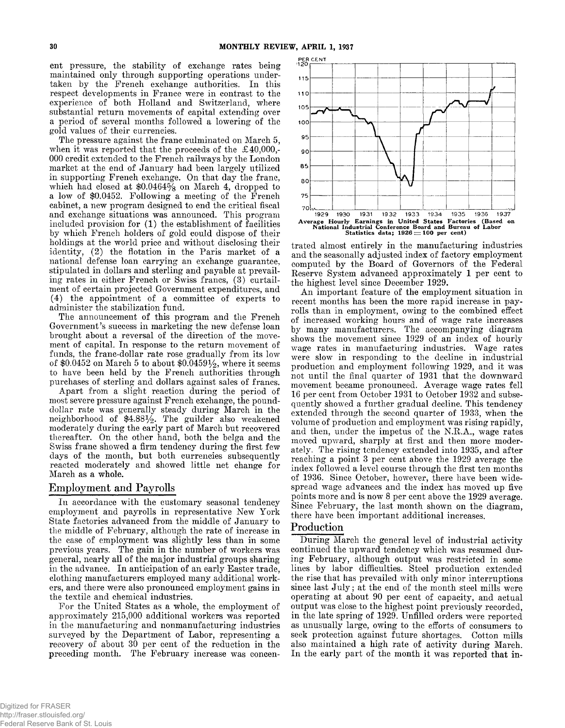**ent pressure, the stability of exchange rates being maintained only through supporting operations undertaken by the French exchange authorities. In this respect developments in France were in contrast to the experience of both Holland and Switzerland, where substantial return movements of capital extending over a period of several months followed a lowering of the gold values of their currencies.**

**The pressure against the franc culminated on March 5, when it was reported that the proceeds of the £40,000,- 000 credit extended to the French railways by the London market at the end of January had been largely utilized in supporting French exchange. On that day the franc, which had closed at \$0.0464% on March 4, dropped to a low of \$0.0452. Following a meeting of the French cabinet, a new program designed to end the critical fiscal and exchange situations was announced. This program included provision for (1) the establishment of facilities by which French holders of gold could dispose of their holdings at the world price and without disclosing their identity, (2) the flotation in the Paris market of a national defense loan carrying an exchange guarantee, stipulated in dollars and sterling and payable at prevailing rates in either French or Swiss francs, (3) curtailment of certain projected Government expenditures, and (4) the appointment of a committee of experts to administer the stabilization fund.**

**The announcement of this program and the French Government's success in marketing the new defense loan brought about a reversal of the direction of the movement of capital. In response to the return movement of funds, the franc-dollar rate rose gradually from its low of \$0.0452 on March 5 to about \$0.0459%, where it seems to have been held by the French authorities through purchases of sterling and dollars against sales of francs.**

**Apart from a slight reaction during the period of most severe pressure against French exchange, the pounddollar rate was generally steady during March in the neighborhood of \$4.88%. The guilder also weakened moderately during the early part of March but recovered thereafter. On the other hand, both the belga and the Swiss franc showed a firm tendency during the first few days of the month, but both currencies subsequently reacted moderately and showed little net change for March as a whole.**

## **Employment and Payrolls**

**In accordance with the customary seasonal tendency employment and payrolls in representative New York State factories advanced from the middle of January to the middle of February, although the rate of increase in the case of employment was slightly less than in some previous years. The gain in the number of workers was general, nearly all of the major industrial groups sharing in the advance. In anticipation of an early Easter trade, clothing manufacturers employed many additional workers, and there were also pronounced employment gains in the textile and chemical industries.**

**For the United States as a whole, the employment of approximately 215,000 additional workers was reported in the manufacturing and nonmanufacturing industries surveyed by the Department of Labor, representing a recovery of about 30 per cent of the reduction in the preceding month. The February increase was concen-**



**trated almost entirely in the manufacturing industries and the seasonally adjusted index of factory employment computed by the Board of Governors of the Federal Reserve System advanced approximately 1 per cent to the highest level since December 1929.**

**An important feature of the employment situation in recent months has been the more rapid increase in payrolls than in employment, owing to the combined effect of increased working hours and of wage rate increases by many manufacturers. The accompanying diagram shows the movement since 1929 of an index of hourly wage rates in manufacturing industries. Wage rates were slow in responding to the decline in industrial production and employment following 1929, and it was not until the final quarter of 1931 that the downward movement became pronounced. Average wage rates fell 16 per cent from October 1931 to October 1932 and subsequently showed a further gradual decline. This tendency extended through the second quarter of 1933, when the volume of production and employment was rising rapidly, and then, under the impetus of the N.R.A., wage rates moved upward, sharply at first and then more moderately. The rising tendency extended into 1935, and after reaching a point 3 per cent above the 1929 average the index followed a level course through the first ten months of 1936. Since October, however, there have been widespread wage advances and the index has moved up five points more and is now 8 per cent above the 1929 average. Since February, the last month shown on the diagram, there have been important additional increases.**

## **Production**

**During March the general level of industrial activity continued the upward tendency which was resumed during February, although output was restricted in some lines by labor difficulties. Steel production extended the rise that has prevailed with only minor interruptions since last July; at the end of the month steel mills were operating at about 90 per cent of capacity, and actual output was close to the highest point previously recorded, in the late spring of 1929. Unfilled orders were reported as unusually large, owing to the efforts of consumers to seek protection against future shortages. Cotton mills also maintained a high rate of activity during March. In the early part of the month it was reported that in-**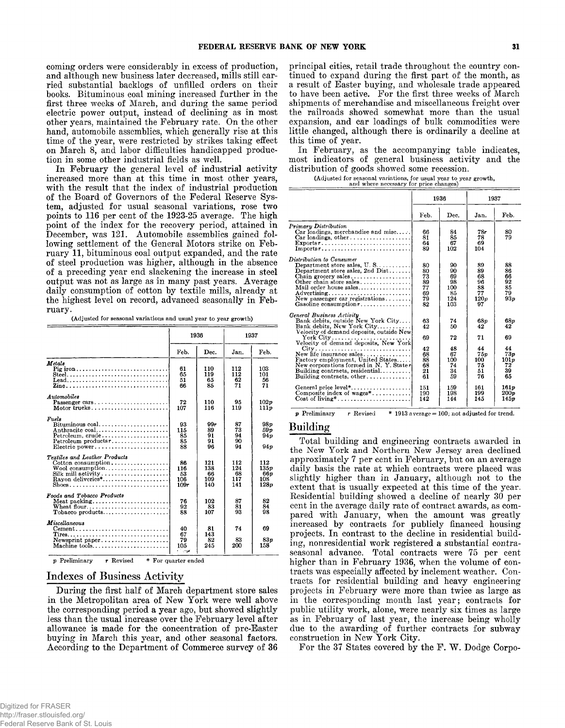**coming orders were considerably in excess of production, and although new business later decreased, mills still carried substantial backlogs of unfilled orders on their books. Bituminous coal mining increased further in the first three weeks of March, and during the same period electric power output, instead of declining as in most other years, maintained the February rate. On the other hand, automobile assemblies, which generally rise at this time of the year, were restricted by strikes taking effect on March 8, and labor difficulties handicapped production in some other industrial fields as well.**

**In February the general level of industrial activity increased more than at this time in most other years, with the result that the index of industrial production of the Board of Governors of the Federal Eeserve System, adjusted for usual seasonal variations, rose two points to 116 per cent of the 1923-25 average. The high point of the index for the recovery period, attained in December, was 121. Automobile assemblies gained following settlement of the General Motors strike on February 11, bituminous coal output expanded, and the rate of steel production was higher, although in the absence of a preceding year end slackening the increase in steel output was not as large as in many past years. Average daily consumption of cotton by textile mills, already at the highest level on record, advanced seasonally in February.**

**(Adjusted for seasonal variations and usual year to year growth)**

|                                                                                                                                                                          | 1936                                |                                | 1937                           |                                       |
|--------------------------------------------------------------------------------------------------------------------------------------------------------------------------|-------------------------------------|--------------------------------|--------------------------------|---------------------------------------|
|                                                                                                                                                                          | Feb.                                | Dec.                           | Jan.                           | Feb.                                  |
| Metals<br>Pig iron<br>Lead                                                                                                                                               | 61<br>65<br>51<br>66                | 110<br>119<br>65<br>85         | 112<br>112<br>62<br>71         | 103<br>101<br>56<br>71                |
| Automobiles<br>Passenger cars<br>Motor trucks                                                                                                                            | 72<br>107                           | 110<br>116                     | 95<br>119                      | 102p<br>111p                          |
| Fuels<br>$Bituminous coal. \ldots \ldots \ldots \ldots \ldots$<br>Anthracite coal<br>$Pet$ releum, crude<br>$Petroleum productsr \ldots \ldots \ldots$<br>Electric power | 93<br>115<br>85<br>85<br>88         | 99r<br>89<br>91<br>91<br>96    | 87<br>73<br>94<br>90<br>94     | 98p<br>59 v<br>94 <sub>p</sub><br>94p |
| Textiles and Leather Products<br>Cotton consumption<br>$Wool$ consumption<br>$\text{Silk}$ mill activity<br>Rayon deliveries <sup>*</sup><br>Shoes                       | 86<br>116<br>53<br>106<br>109r      | 121<br>138<br>66<br>109<br>140 | 112<br>124<br>68<br>117<br>141 | 112<br>135p<br>66 v<br>108<br>128p    |
| Foods and Tobacco Products<br>Wheat flour                                                                                                                                | 76<br>92<br>88                      | 102<br>83<br>107               | 87<br>81<br>93                 | 82<br>84<br>98                        |
| Miscellaneous<br>$Cement \dots \dots \dots \dots \dots \dots \dots \dots \dots \dots \dots$<br>Newsprint paper                                                           | 40<br>67<br>79<br>105<br><b>COM</b> | 81<br>143<br>82<br>245         | 74<br>83<br>200                | 69<br>83 p<br>158                     |

**p** Preliminary **r** Revised \* For quarter ended

# **Indexes of Business A ctivity**

**During the first half of March department store sales in the Metropolitan area of New York were well above the corresponding period a year ago, but showed slightly less than the usual increase over the February level after allowance is made for the concentration of pre-Easter buying in March this year, and other seasonal factors. According to the Department of Commerce survey of 36**

**principal cities, retail trade throughout the country continued to expand during the first part of the month, as a result of Easter buying, and wholesale trade appeared to have been active. For the first three weeks of March shipments of merchandise and miscellaneous freight over the railroads showed somewhat more than the usual expansion, and car loadings of bulk commodities were little changed, although there is ordinarily a decline at this time of year.**

**In February, as the accompanying table indicates, most indicators of general business activity and the distribution of goods showed some recession.**

(Adjusted for seasonal variations, for usual year to year growth,<br>and where necessary for price changes)

|                                                                                                                                                                                                                                                                                                                                                                                                                 | 1936                                                             |                                                                   | 1937                                                                            |                                                                        |
|-----------------------------------------------------------------------------------------------------------------------------------------------------------------------------------------------------------------------------------------------------------------------------------------------------------------------------------------------------------------------------------------------------------------|------------------------------------------------------------------|-------------------------------------------------------------------|---------------------------------------------------------------------------------|------------------------------------------------------------------------|
|                                                                                                                                                                                                                                                                                                                                                                                                                 | Feb.                                                             | Dec.                                                              | Jan.                                                                            | Feb.                                                                   |
| <b>Primary Distribution</b><br>$Car$ loadings, merchandise and misc<br>$Car$ loadings, other $\dots\dots\dots\dots\dots\dots$<br>$\text{Exports}$ ,<br>Imports $r_1, \ldots, \ldots, \ldots, \ldots, \ldots, \ldots, \ldots$                                                                                                                                                                                    | 66<br>81<br>64<br>89                                             | 84<br>85<br>67<br>102                                             | 78r<br>78<br>69<br>104                                                          | 80<br>79                                                               |
| Distribution to Consumer<br>Department store sales, $U. S. \ldots \ldots \ldots$<br>Department store sales, 2nd $Dist$<br>Other chain store sales<br>Mail order house sales<br>Advertising<br>New passenger car registrations<br>Gasoline consumption $r, \ldots, \ldots, \ldots$                                                                                                                               | 80<br>80<br>73<br>89<br>77<br>69<br>79<br>82                     | 90<br>90<br>69<br>98<br>100<br>85<br>124<br>103                   | 89<br>89<br>68<br>96<br>88<br>77<br>120p<br>97                                  | 88<br>86<br>66<br>92<br>85<br>79<br>93p                                |
| General Business Activity<br>Bank debits, outside New York City<br>Bank debits, New York City<br>Velocity of demand deposits, outside New<br>Velocity of demand deposits. New York<br>New life insurance sales<br>Factory employment, United States<br>New corporations formed in N.Y. Stater<br>Building contracts, residential<br>Building contracts, other, $\ldots$ , $\ldots$<br>Composite index of wages* | 63<br>42<br>69<br>42<br>68<br>88<br>68<br>21<br>61<br>151<br>190 | 74<br>50<br>72<br>48<br>67<br>100<br>74<br>34<br>59<br>159<br>198 | 68 <sub>v</sub><br>42<br>71<br>44<br>75p<br>100<br>75<br>51<br>76<br>161<br>199 | 68p<br>42<br>69<br>44<br>73p<br>101p<br>72<br>39<br>65<br>161p<br>200p |

# **Building**

**Total building and engineering contracts awarded in the New York and Northern New Jersey area declined approximately 7 per cent in February, but on an average daily basis the rate at which contracts were placed was slightly higher than in January, although not to the extent that is usually expected at this time of the year. Residential building showed a decline of nearly 30 per cent in the average daily rate of contract awards, as compared with January, when the amount was greatly increased by contracts for publicly financed housing projects. In contrast to the decline in residential building, nonresidential work registered a substantial contraseasonal advance. Total contracts were 75 per cent higher than in February 1936, when the volume of contracts was especially affected by inclement weather. Contracts for residential building and heavy engineering projects in February were more than twice as large as in the corresponding month last year; contracts for public utility work, alone, were nearly six times as large as in February of last year, the increase being wholly due to the awarding of further contracts for subway construction in New York City.**

For the 37 States covered by the F. W. Dodge Corpo-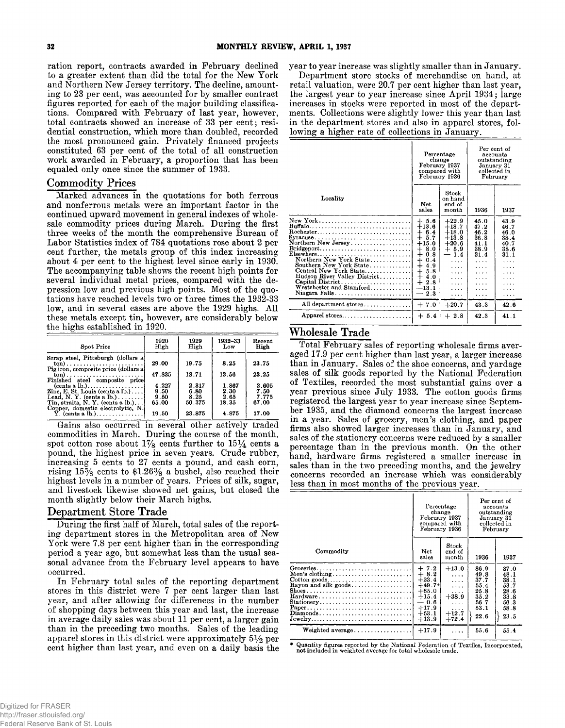**ration report, contracts awarded in February declined to a greater extent than did the total for the New York and Northern New Jersey territory. The decline, amounting to 23 per cent, was accounted for by smaller contract figures reported for each of the major building classifications. Compared with February of last year, however, total contracts showed an increase of 33 per cent; residential construction, which more than doubled, recorded the most pronounced gain. Privately financed projects constituted 63 per cent of the total of all construction work awarded in February, a proportion that has been equaled only once since the summer of 1933.**

# **C om m odity Prices**

**Marked advances in the quotations for both ferrous and nonferrous metals were an important factor in the continued upward movement in general indexes of wholesale commodity prices during March. During the first three weeks of the month the comprehensive Bureau of Labor Statistics index of 784 quotations rose about 2 per cent further, the metals group of this index increasing about 4 per cent to the highest level since early in 1930. The accompanying table shows the recent high points for several individual metal prices, compared with the depression low and previous high points. Most of the quotations have reached levels two or three times the 1932-33 low, and in several cases are above the 1929 highs. All these metals except tin, however, are considerably below the highs established in 1920.**

| Spot Price                                                     | 1920   | 1929   | 1932-33 | Recent |
|----------------------------------------------------------------|--------|--------|---------|--------|
|                                                                | High   | High   | Low     | High   |
| Scrap steel, Pittsburgh (dollars a)                            | 29.00  | 19.75  | 8.25    | 23.75  |
| Finished steel composite price                                 | 47.835 | 18.71  | 13.56   | 23.25  |
| $(cents \, a \, lb.) \dots \dots \dots \dots \dots \dots$      | 4.227  | 2.317  | 1.867   | 2.605  |
| Zinc, E. St. Louis (cents a $lb.$ )                            | 9.50   | 6.80   | 2.30    | 7.50   |
| Lead, N. Y. (cents a $lb.$ )                                   | 9.50   | 8.25   | 2.65    | 7.775  |
| Tin. straits, $N$ , $Y$ , (cents a $lb$ .)                     | 65.00  | 50.375 | 18.35   | 67.00  |
| Copper, domestic electrolytic, N.<br>$\hat{Y}$ . (cents a lb.) | 19.50  | 23.875 | 4.875   | 17.00  |

**Gains also occurred in several other actively traded commodities in March. During the course of the month,** spot cotton rose about  $1\frac{7}{8}$  cents further to  $15\frac{1}{4}$  cents a **pound, the highest price in seven years. Crude rubber, increasing 5 cents to 27 cents a pound, and cash corn, rising 15% cents to \$1.26% a bushel, also reached their highest levels in a number of years. Prices of silk, sugar, and livestock likewise showed net gains, but closed the month slightly below their March highs.**

## **Department Store Trade**

**During the first half of March, total sales of the reporting department stores in the Metropolitan area of New York were 7.8 per cent higher than in the corresponding period a year ago, but somewhat less than the usual seasonal advance from the February level appears to have occurred.**

**In February total sales of the reporting department stores in this district were 7 per cent larger than last year, and after allowing for differences in the number of shopping days between this year and last, the increase in average daily sales was about 11 per cent, a larger gain than in the preceding two months. Sales of the leading apparel stores in this district were approximately 5% per cent higher than last year, and even on a daily basis the** **year to year increase was slightly smaller than in January.**

**Department store stocks of merchandise on hand, at retail valuation, were 20.7 per cent higher than last year, the largest year to year increase since April 1934; large increases in stocks were reported in most of the departments. Collections were slightly lower this year than last in the department stores and also in apparel stores, following ahigher rate of collections in January.**

|                                                                                                                                                                                                                                                                                                                                               | Percentage<br>change<br>February 1937<br>compared with<br>February 1936                                                                                                        |                                                                                                         | Per cent of<br>accounts<br>outstanding<br>January 31<br>collected in<br>February        |                                                           |
|-----------------------------------------------------------------------------------------------------------------------------------------------------------------------------------------------------------------------------------------------------------------------------------------------------------------------------------------------|--------------------------------------------------------------------------------------------------------------------------------------------------------------------------------|---------------------------------------------------------------------------------------------------------|-----------------------------------------------------------------------------------------|-----------------------------------------------------------|
| Locality                                                                                                                                                                                                                                                                                                                                      | Net<br>sales                                                                                                                                                                   | Stock<br>on hand<br>end of<br>month                                                                     | 1936                                                                                    | 1937                                                      |
| New York<br>$Rochester. \ldots \ldots \ldots \ldots \ldots \ldots \ldots \ldots \ldots \ldots$<br>Syracuse<br>Northern New Jersey<br>Bridgeport<br>Elsewhere<br>Northern New York State<br>Southern New York State<br>Central New York State<br>Hudson River Valley District<br>Capital District<br>Westchester and Stamford<br>Niagara Falls | $+5.6$<br>$+13.6$<br>$+6.4$<br>5.7<br>$\pm$<br>$+15.0$<br>8.0<br>$^{+}$<br>0.8<br>$\div$<br>$\ddagger$<br>0.4<br>4.9<br>5.8<br>$^{+}$<br>$+4.0$<br>$+2.8$<br>$-13.1$<br>$-2.3$ | $+22.9$<br>$+18.7$<br>$+18.0$<br>$+13.8$<br>$+20.6$<br>$+5.9$<br>1.4<br>.<br>.<br>.<br>.<br>.<br>.<br>. | 45.0<br>47.2<br>46.2<br>36.8<br>41.1<br>38.9<br>31.4<br>.<br>.<br>.<br>.<br>.<br>.<br>. | 43.9<br>46.7<br>46.0<br>38.4<br>40.7<br>38.6<br>31.1<br>. |
| All department stores                                                                                                                                                                                                                                                                                                                         | $+7.0$                                                                                                                                                                         | $+20.7$                                                                                                 | 43.3                                                                                    | 42.6                                                      |
| Apparel stores                                                                                                                                                                                                                                                                                                                                | $+5.4$                                                                                                                                                                         | $+2.8$                                                                                                  | 42.3                                                                                    | 41.1                                                      |

## **W holesale Trade**

**Total February sales of reporting wholesale firms averaged 17.9 per cent higher than last year, a larger increase than in January. Sales of the shoe concerns, and yardage sales of silk goods reported by the National Federation of Textiles, recorded the most substantial gains over a year previous since July 1933. The cotton goods firms registered the largest year to year increase since September 1935, and the diamond concerns the largest increase in a year. Sales of grocery, men's clothing, and paper firms also showed larger increases than in January, and sales of the stationery concerns were reduced by a smaller percentage than in the previous month. On the other hand, hardware firms registered a smaller increase in sales than in the two preceding months, and the jewelry concerns recorded an increase which was considerably less than in most months of the previous year.**

|                                                                                                      | Percentage<br>change<br>February 1937<br>compared with<br>February 1936                                  |                                                                                                        | January 31                                                           | Per cent of<br>accounts<br>outstanding<br>collected in<br>February   |
|------------------------------------------------------------------------------------------------------|----------------------------------------------------------------------------------------------------------|--------------------------------------------------------------------------------------------------------|----------------------------------------------------------------------|----------------------------------------------------------------------|
| Commodity                                                                                            | <b>Net</b><br>sales                                                                                      | Stock<br>end of<br>month                                                                               | 1936                                                                 | 1937                                                                 |
| $\text{Cottom goods.} \dots \dots \dots \dots \dots \dots \dots \dots \dots$<br>Rayon and silk goods | $+7.2$<br>$+8.2$<br>$+23.4$<br>$+49.7*$<br>$+65.0$<br>$+15.4$<br>$-0.6$<br>$+17.9$<br>$+53.1$<br>$+13.9$ | $+13.0$<br>$\cdots$<br>$\cdots$<br>$\cdots$<br>$\cdots$<br>$+38.9$<br>1.1.1<br>.<br>$+12.7$<br>$+72.4$ | 86.9<br>49.8<br>37.7<br>55.4<br>25.8<br>35.2<br>56.7<br>53.1<br>22.6 | 87.0<br>48.1<br>38.1<br>53.7<br>28.6<br>33.8<br>56.3<br>58.8<br>23.5 |
| Weighted average                                                                                     | $+17.9$                                                                                                  | $\cdots$                                                                                               | 55.6                                                                 | 55.4                                                                 |

\* Quantity figures reported by the National Federation of Textiles, Incorporated, **not** included in weighted average for total wholesale trade.